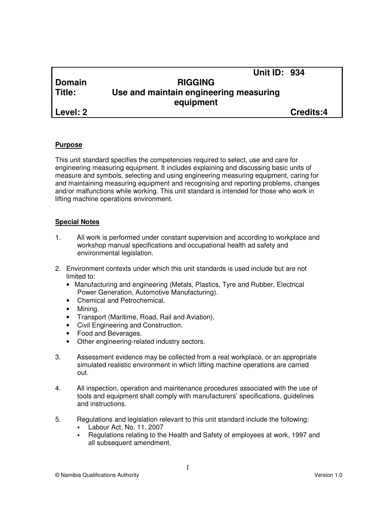|               | <b>Unit ID: 934</b>                    |           |
|---------------|----------------------------------------|-----------|
| <b>Domain</b> | <b>RIGGING</b>                         |           |
| Title:        | Use and maintain engineering measuring |           |
|               | equipment                              |           |
| Level: 2      |                                        | Credits:4 |

#### **Purpose**

This unit standard specifies the competencies required to select, use and care for engineering measuring equipment. It includes explaining and discussing basic units of measure and symbols, selecting and using engineering measuring equipment, caring for and maintaining measuring equipment and recognising and reporting problems, changes and/or malfunctions while working. This unit standard is intended for those who work in lifting machine operations environment.

#### **Special Notes**

- 1. All work is performed under constant supervision and according to workplace and workshop manual specifications and occupational health ad safety and environmental legislation.
- 2. Environment contexts under which this unit standards is used include but are not limited to:
	- Manufacturing and engineering (Metals, Plastics, Tyre and Rubber, Electrical Power Generation, Automotive Manufacturing).
	- Chemical and Petrochemical.
	- Mining.
	- Transport (Maritime, Road, Rail and Aviation).
	- Civil Engineering and Construction.
	- Food and Beverages.
	- Other engineering-related industry sectors.
- 3. Assessment evidence may be collected from a real workplace, or an appropriate simulated realistic environment in which lifting machine operations are carried out.
- 4. All inspection, operation and maintenance procedures associated with the use of tools and equipment shall comply with manufacturers' specifications, guidelines and instructions.
- 5. Regulations and legislation relevant to this unit standard include the following:
	- Labour Act, No. 11, 2007
	- Regulations relating to the Health and Safety of employees at work, 1997 and all subsequent amendment.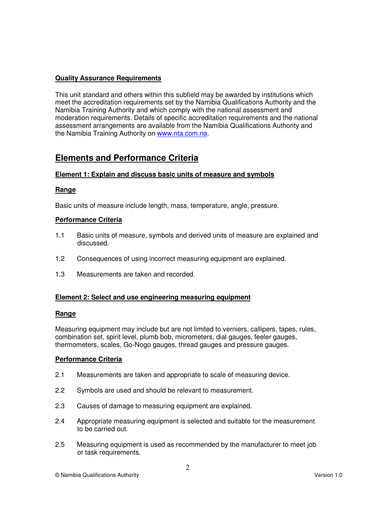## **Quality Assurance Requirements**

This unit standard and others within this subfield may be awarded by institutions which meet the accreditation requirements set by the Namibia Qualifications Authority and the Namibia Training Authority and which comply with the national assessment and moderation requirements. Details of specific accreditation requirements and the national assessment arrangements are available from the Namibia Qualifications Authority and the Namibia Training Authority on www.nta.com.na.

# **Elements and Performance Criteria**

# **Element 1: Explain and discuss basic units of measure and symbols**

#### **Range**

Basic units of measure include length, mass, temperature, angle, pressure.

#### **Performance Criteria**

- 1.1 Basic units of measure, symbols and derived units of measure are explained and discussed.
- 1.2 Consequences of using incorrect measuring equipment are explained.
- 1.3 Measurements are taken and recorded.

#### **Element 2: Select and use engineering measuring equipment**

#### **Range**

Measuring equipment may include but are not limited to verniers, callipers, tapes, rules, combination set, spirit level, plumb bob, micrometers, dial gauges, feeler gauges, thermometers, scales, Go-Nogo gauges, thread gauges and pressure gauges.

#### **Performance Criteria**

- 2.1 Measurements are taken and appropriate to scale of measuring device.
- 2.2 Symbols are used and should be relevant to measurement.
- 2.3 Causes of damage to measuring equipment are explained.
- 2.4 Appropriate measuring equipment is selected and suitable for the measurement to be carried out.
- 2.5 Measuring equipment is used as recommended by the manufacturer to meet job or task requirements.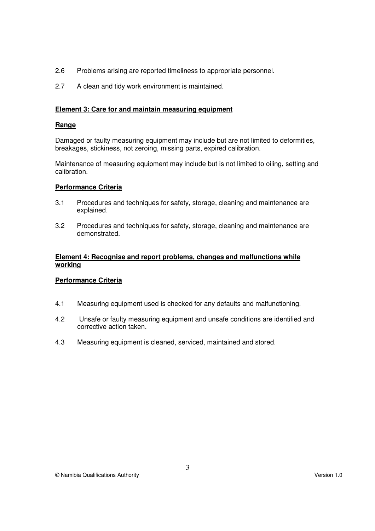- 2.6 Problems arising are reported timeliness to appropriate personnel.
- 2.7 A clean and tidy work environment is maintained.

## **Element 3: Care for and maintain measuring equipment**

#### **Range**

Damaged or faulty measuring equipment may include but are not limited to deformities, breakages, stickiness, not zeroing, missing parts, expired calibration.

Maintenance of measuring equipment may include but is not limited to oiling, setting and calibration.

#### **Performance Criteria**

- 3.1 Procedures and techniques for safety, storage, cleaning and maintenance are explained.
- 3.2 Procedures and techniques for safety, storage, cleaning and maintenance are demonstrated.

#### **Element 4: Recognise and report problems, changes and malfunctions while working**

#### **Performance Criteria**

- 4.1 Measuring equipment used is checked for any defaults and malfunctioning.
- 4.2 Unsafe or faulty measuring equipment and unsafe conditions are identified and corrective action taken.
- 4.3 Measuring equipment is cleaned, serviced, maintained and stored.